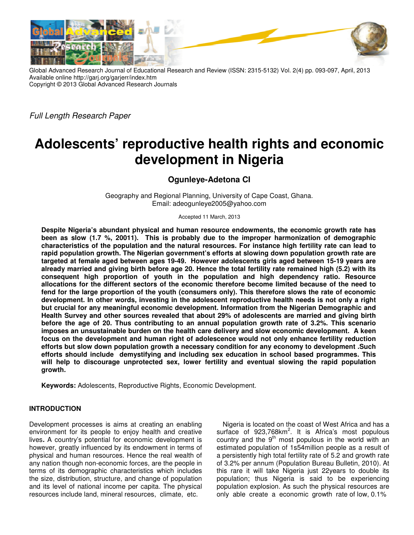

Global Advanced Research Journal of Educational Research and Review (ISSN: 2315-5132) Vol. 2(4) pp. 093-097, April, 2013 Available online http://garj.org/garjerr/index.htm Copyright © 2013 Global Advanced Research Journals Global Advanced

*Full Length Research Paper*

# **Adolescents' reproductive health rights rights and economic development in Nigeria**

**Ogunleye-Adetona CI** 

Geography and Regional Planning, University of Cape Coast, Ghana. Email: adeogunleye2005@yahoo.com Email: adeogunleye2005@yahoo.com

Accepted 11 March, 2013

**Despite Nigeria's abundant physical and human resource endowments, the economic growth rate has been as slow (1.7 %, 20011). This is probably due to the improper harmonization of demographic characteristics of the population and the natural resources. For rapid population growth. The Nigerian government's efforts at slowing down population growth rate are**  rapid population growth. The Nigerian government's efforts at slowing down population growth rate are<br>targeted at female aged between ages 19-49. However adolescents girls aged between 15-19 years are **already married and giving birth before age 20. Hence the total fertility rate remained high (5.2) with its consequent high proportion of youth in the population and high dependency ratio. Resource allocations for the different sectors of the economic therefore become fend for the large proportion of the youth (consumers only). This therefore slows the rate of economic development. In other words, investing in the adolescent reproductive health needs is not only a right but crucial for any meaningful economic development. Information from the Nigerian Demographic and Health Survey and other sources revealed that about 29% of adolescents are married and giving birth**  fend for the large proportion of the youth (consumers only). This therefore slows the rate of economic<br>development. In other words, investing in the adolescent reproductive health needs is not only a right<br>but crucial for **imposes an unsustainable burden on the health care delivery and slow economic development. A keen focus on the development and human right of adolescence would not only enhance fertility reduction**  imposes an unsustainable burden on the health care delivery and slow economic development. A keen<br>focus on the development and human right of adolescence would not only enhance fertility reduction<br>efforts but slow down po **efforts should include demystifying and including sex education in school based programmes. This**  efforts should include demystifying and including sex education in school based programmes.<br>will help to discourage unprotected sex, lower fertility and eventual slowing the rapid popul **growth.**  te Nigeria's abundant physical and human resource endowments, the economic growth rate has<br>as slow (1.7 %, 20011). This is probably due to the improper harmonization of demographic<br>cteristics of the population and the nat ied and giving birth before age 20. Hence the total fertility rate remained high (5.2) with its<br>high proportion of youth in the population and high dependency ratio. Resource<br>or the different sectors of the economic theref **s** of the economic therefore become limited because of the need to <br> **c** youth (consumers only). This therefore slows the rate of economic<br>
sting in the adolescent reproductive health needs is not only a right<br>
nomic deve

**Keywords:** Adolescents, Reproductive Rights, Economic Development Development.

# **INTRODUCTION**

Development processes is aims at creating an enabling environment for its people to enjoy health and creative lives**.** A country's potential for economic development is however, greatly influenced by its endowment in terms of physical and human resources. Hence the real wealth of any nation though non-economic forces, are the people in terms of its demographic characteristics which includes the size, distribution, structure, and change of population and its level of national income per capita. The physical resources include land, mineral resources, climate, etc. Development processes is aims at creating an enabling<br>environment for its people to enjoy health and creative<br>lives. A country's potential for economic development is<br>however, greatly influenced by its endowment in terms o

Nigeria is located on the coast of West Africa and has a surface of  $923,768$ km<sup>2</sup>. It is Africa's most populous country and the  $9<sup>th</sup>$  most populous in the world with an estimated population of 1s54million people as a result of a persistently high total fertility rate of 5.2 and growth rate of 3.2% per annum (Population Bureau Bulletin, 2010). At this rare it will take Nigeria just 22years to double its population; thus Nigeria is said to be experiencing population explosion. As such the physical resources are only able create a economic growth rate of low, 0.1% Nigeria is located on the coast of West Africa and has a surface of 923,768km<sup>2</sup>. It is Africa's most populous country and the 9<sup>th</sup> most populous in the world with an estimated population of 1s54million people as a resul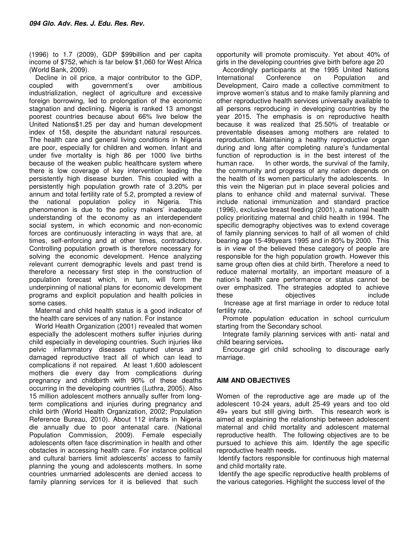(1996) to 1.7 (2009), GDP \$99billion and per capita income of \$752, which is far below \$1,060 for West Africa (World Bank, 2009).

Decline in oil price, a major contributor to the GDP, coupled with government's over ambitious industrialization, neglect of agriculture and excessive foreign borrowing, led to prolongation of the economic stagnation and declining. Nigeria is ranked 13 amongst poorest countries because about 66% live below the United Nations\$1.25 per day and human development index of 158, despite the abundant natural resources. The health care and general living conditions in Nigeria are poor, especially for children and women. Infant and under five mortality is high 86 per 1000 live births because of the weaken public healthcare system where there is low coverage of key intervention leading the persistently high disease burden. This coupled with a persistently high population growth rate of 3.20% per annum and total fertility rate of 5.2, prompted a review of the national population policy in Nigeria. This phenomenon is due to the policy makers' inadequate understanding of the economy as an interdependent social system, in which economic and non-economic forces are continuously interacting in ways that are, at times, self-enforcing and at other times, contradictory. Controlling population growth is therefore necessary for solving the economic development. Hence analyzing relevant current demographic levels and past trend is therefore a necessary first step in the construction of population forecast which, in turn, will form the underpinning of national plans for economic development programs and explicit population and health policies in some cases.

Maternal and child health status is a good indicator of the health care services of any nation. For instance

World Health Organization (2001) revealed that women especially the adolescent mothers suffer injuries during child especially in developing countries. Such injuries like pelvic inflammatory diseases ruptured uterus and damaged reproductive tract all of which can lead to complications if not repaired. At least 1,600 adolescent mothers die every day from complications during pregnancy and childbirth with 90% of these deaths occurring in the developing countries (Luthra, 2005). Also 15 million adolescent mothers annually suffer from longterm complications and injuries during pregnancy and child birth (World Health Organization, 2002; Population Reference Bureau, 2010). About 112 infants in Nigeria die annually due to poor antenatal care. (National Population Commission, 2009). Female especially adolescents often face discrimination in health and other obstacles in accessing health care. For instance political and cultural barriers limit adolescents' access to family planning the young and adolescents mothers. In some countries unmarried adolescents are denied access to family planning services for it is believed that such

opportunity will promote promiscuity. Yet about 40% of girls in the developing countries give birth before age 20

Accordingly participants at the 1995 United Nations International Conference on Population and Development, Cairo made a collective commitment to improve women's status and to make family planning and other reproductive health services universally available to all persons reproducing in developing countries by the year 2015. The emphasis is on reproductive health because it was realized that 25.50% of treatable or preventable diseases among mothers are related to reproduction. Maintaining a healthy reproductive organ during and long after completing nature's fundamental function of reproduction is in the best interest of the human race. In other words, the survival of the family, the community and progress of any nation depends on the health of its women particularly the adolescents. In this vein the Nigerian put in place several policies and plans to enhance child and maternal survival. These include national immunization and standard practice (1996), exclusive breast feeding (2001), a national health policy prioritizing maternal and child health in 1994. The specific demography objectives was to extend coverage of family planning services to half of all women of child bearing age 15-49byears 1995 and in 80% by 2000. This is in view of the believed these category of people are responsible for the high population growth. However this same group often dies at child birth. Therefore a need to reduce maternal mortality, an important measure of a nation's health care performance or status cannot be over emphasized. The strategies adopted to achieve these **objectives include** 

 Increase age at first marriage in order to reduce total fertility rate**.**

Promote population education in school curriculum starting from the Secondary school.

Integrate family planning services with anti- natal and child bearing services**.**

Encourage girl child schooling to discourage early marriage.

# **AIM AND OBJECTIVES**

Women of the reproductive age are made up of the adolescent 10-24 years, adult 25-49 years and too old 49+ years but still giving birth. This research work is aimed at explaining the relationship between adolescent maternal and child mortality and adolescent maternal reproductive health. The following objectives are to be pursued to achieve this aim. Identify the age specific reproductive health needs**.** 

Identify factors responsible for continuous high maternal and child mortality rate.

Identify the age specific reproductive health problems of the various categories. Highlight the success level of the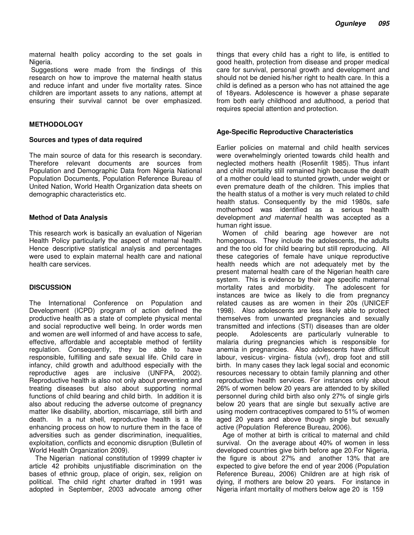maternal health policy according to the set goals in Nigeria.

Suggestions were made from the findings of this research on how to improve the maternal health status and reduce infant and under five mortality rates. Since children are important assets to any nations, attempt at ensuring their survival cannot be over emphasized.

### **METHODOLOGY**

#### **Sources and types of data required**

The main source of data for this research is secondary. Therefore relevant documents are sources from Population and Demographic Data from Nigeria National Population Documents, Population Reference Bureau of United Nation, World Health Organization data sheets on demographic characteristics etc.

#### **Method of Data Analysis**

This research work is basically an evaluation of Nigerian Health Policy particularly the aspect of maternal health. Hence descriptive statistical analysis and percentages were used to explain maternal health care and national health care services.

## **DISCUSSION**

The International Conference on Population and Development (ICPD) program of action defined the productive health as a state of complete physical mental and social reproductive well being. In order words men and women are well informed of and have access to safe, effective, affordable and acceptable method of fertility regulation. Consequently, they be able to have responsible, fulfilling and safe sexual life. Child care in infancy, child growth and adulthood especially with the reproductive ages are inclusive (UNFPA, 2002). Reproductive health is also not only about preventing and treating diseases but also about supporting normal functions of child bearing and child birth. In addition it is also about reducing the adverse outcome of pregnancy matter like disability, abortion, miscarriage, still birth and death. In a nut shell, reproductive health is a life enhancing process on how to nurture them in the face of adversities such as gender discrimination, inequalities, exploitation, conflicts and economic disruption (Bulletin of World Health Organization 2009).

The Nigerian national constitution of 19999 chapter iv article 42 prohibits unjustifiable discrimination on the bases of ethnic group, place of origin, sex, religion on political. The child right charter drafted in 1991 was adopted in September, 2003 advocate among other

things that every child has a right to life, is entitled to good health, protection from disease and proper medical care for survival, personal growth and development and should not be denied his/her right to health care. In this a child is defined as a person who has not attained the age of 18years. Adolescence is however a phase separate from both early childhood and adulthood, a period that requires special attention and protection.

#### **Age-Specific Reproductive Characteristics**

Earlier policies on maternal and child health services were overwhelmingly oriented towards child health and neglected mothers health (Rosenfilt 1985). Thus infant and child mortality still remained high because the death of a mother could lead to stunted growth, under weight or even premature death of the children. This implies that the health status of a mother is very much related t*o* child health status. Consequently by the mid 1980s, safe motherhood was identified as a serious health development *and maternal* health was accepted as a human right issue.

Women of child bearing age however are not homogenous. They include the adolescents, the adults and the too old for child bearing but still reproducing. All these categories of female have unique reproductive health needs which are not adequately met by the present maternal health care of the Nigerian health care system. This is evidence by their age specific maternal mortality rates and morbidity. The adolescent for instances are twice as likely to die from pregnancy related causes as are women in their 20s (UNICEF 1998). Also adolescents are less likely able to protect themselves from unwanted pregnancies and sexually transmitted and infections (STI) diseases than are older people. Adolescents are particularly vulnerable to malaria during pregnancies which is responsible for anemia in pregnancies. Also adolescents have difficult labour, vesicus- virgina- fistula (vvf), drop foot and still birth. In many cases they lack legal social and economic resources necessary to obtain family planning and other reproductive health services. For instances only about 26% of women below 20 years are attended to by skilled personnel during child birth also only 27% of single girls below 20 years that are single but sexually active are using modern contraceptives compared to 51% of women aged 20 years and above though single but sexually active (Population Reference Bureau, 2006).

Age of mother at birth is critical to maternal and child survival. On the average about 40% of women in less developed countries give birth before age 20.For Nigeria, the figure is about 27% and another 13% that are expected to give before the end of year 2006 (Population Reference Bureau, 2006) Children are at high risk of dying, if mothers are below 20 years. For instance in Nigeria infant mortality of mothers below age 20 is 159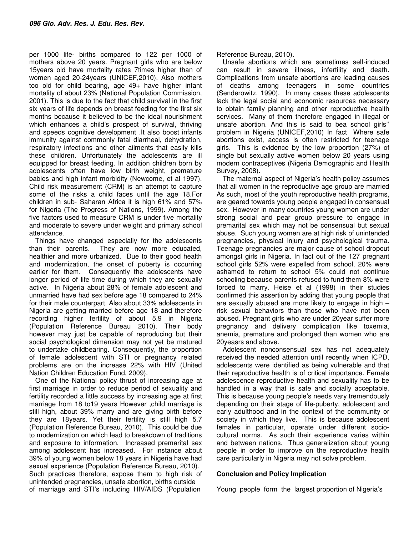per 1000 life- births compared to 122 per 1000 of mothers above 20 years. Pregnant girls who are below 15years old have mortality rates 7times higher than of women aged 20-24years (UNICEF,2010). Also mothers too old for child bearing, age 49+ have higher infant mortality of about 23% (National Population Commission, 2001). This is due to the fact that child survival in the first six years of life depends on breast feeding for the first six months because it believed to be the ideal nourishment which enhances a child's prospect of survival, thriving and speeds cognitive development .It also boost infants immunity against commonly fatal diarrheal, dehydration, respiratory infections and other ailments that easily kills these children. Unfortunately the adolescents are ill equipped for breast feeding. In addition children born by adolescents often have low birth weight, premature babies and high infant morbidity (Newcome, et al 1997). Child risk measurement (CRM) is an attempt to capture some of the risks a child faces until the age 18.For children in sub- Saharan Africa it is high 61% and 57% for Nigeria (The Progress of Nations, 1999). Among the five factors used to measure CRM is under five mortality and moderate to severe under weight and primary school attendance.

Things have changed especially for the adolescents than their parents. They are now more educated, healthier and more urbanized. Due to their good health and modernization, the onset of puberty is occurring earlier for them. Consequently the adolescents have longer period of life time during which they are sexually active. In Nigeria about 28% of female adolescent and unmarried have had sex before age 18 compared to 24% for their male counterpart. Also about 33% adolescents in Nigeria are getting married before age 18 and therefore recording higher fertility of about 5.9 in Nigeria (Population Reference Bureau 2010). Their body however may just be capable of reproducing but their social psychological dimension may not yet be matured to undertake childbearing. Consequently, the proportion of female adolescent with STI or pregnancy related problems are on the increase 22% with HIV (United Nation Children Education Fund, 2009).

One of the National policy thrust of increasing age at first marriage in order to reduce period of sexuality and fertility recorded a little success by increasing age at first marriage from 18 to19 years However ,child marriage is still high, about 39% marry and are giving birth before they are 18years. Yet their fertility is still high 5.7 (Population Reference Bureau, 2010). This could be due to modernization on which lead to breakdown of traditions and exposure to information. Increased premarital sex among adolescent has increased. For instance about 39% of young women below 18 years in Nigeria have had sexual experience (Population Reference Bureau, 2010). Such practices therefore, expose them to high risk of unintended pregnancies, unsafe abortion, births outside of marriage and STI's including HIV/AIDS (Population

Reference Bureau, 2010).

Unsafe abortions which are sometimes self-induced can result in severe illness, infertility and death. Complications from unsafe abortions are leading causes of deaths among teenagers in some countries (Senderowitz, 1990). In many cases these adolescents lack the legal social and economic resources necessary to obtain family planning and other reproductive health services. Many of them therefore engaged in illegal or unsafe abortion. And this is said to bea school girls'' problem in Nigeria (UNICEF,2010) In fact Where safe abortions exist, access is often restricted for teenage girls. This is evidence by the low proportion (27%) of single but sexually active women below 20 years using modern contraceptives (Nigeria Demographic and Health Survey, 2008).

The maternal aspect of Nigeria's health policy assumes that all women in the reproductive age group are married As such, most of the youth reproductive health programs, are geared towards young people engaged in consensual sex. However in many countries young women are under strong social and pear group pressure to engage in premarital sex which may not be consensual but sexual abuse. Such young women are at high risk of unintended pregnancies, physical injury and psychological trauma. Teenage pregnancies are major cause of school dropout amongst girls in Nigeria. In fact out of the 127 pregnant school girls 52% were expelled from school, 20% were ashamed to return to school 5% could not continue schooling because parents refused to fund them 8% were forced to marry. Heise et al (1998) in their studies confirmed this assertion by adding that young people that are sexually abused are more likely to engage in high – risk sexual behaviors than those who have not been abused. Pregnant girls who are under 20year suffer more pregnancy and delivery complication like toxemia, anemia, premature and prolonged than women who are 20yeasrs and above.

Adolescent nonconsensual sex has not adequately received the needed attention until recently when ICPD, adolescents were identified as being vulnerable and that their reproductive health is of critical importance. Female adolescence reproductive health and sexuality has to be handled in a way that is safe and socially acceptable. This is because young people's needs vary tremendously depending on their stage of life-puberty, adolescent and early adulthood and in the context of the community or society in which they live. This is because adolescent females in particular, operate under different sociocultural norms. As such their experience varies within and between nations. Thus generalization about young people in order to improve on the reproductive health care particularly in Nigeria may not solve problem.

## **Conclusion and Policy Implication**

Young people form the largest proportion of Nigeria's